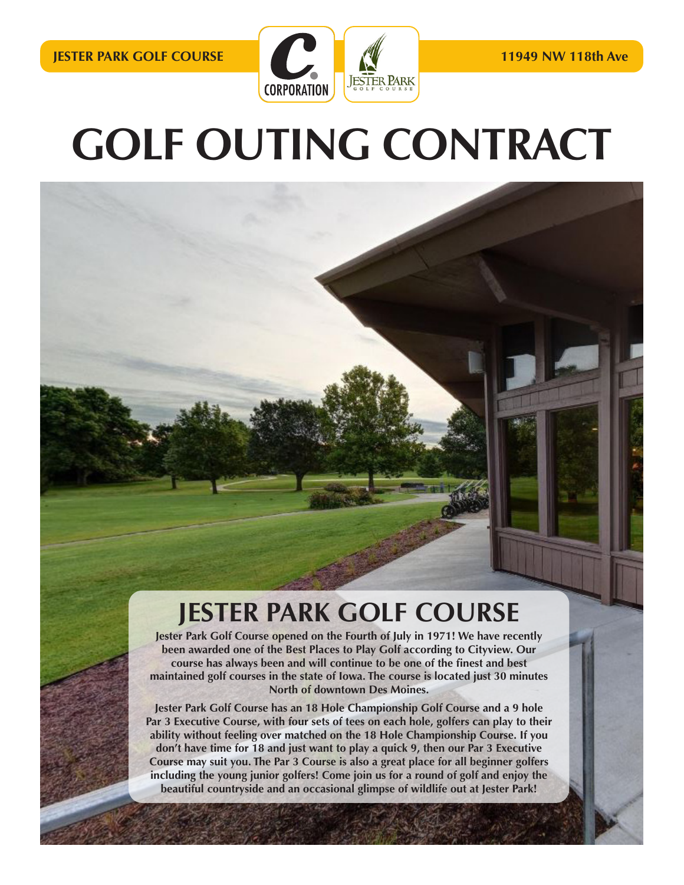

# **GOLF OUTING CONTRACT** GOLF OUTING CONTRACT

### PUBLIC AND OPEN YEAR ROUND! JesterPark Golf Course opened on the Fourth of July in 1971! We have recently been awarded one maintained golf courses in the state of Iowa. The course is located just 30 minutes North of downtown Des Moines. Jester Park Golf Course has an 18 Hole Championship Golf Course and a 9 hole Par  $\sim$   $\sim$   $\sim$ on each hole, golfers can play to the total play to the total play to the total play to the total play to the with feeling over matched on the 18 Hole and 18 Hole and 18 Hole and 18 Hole and 18 Hole and Championship Course. If you don't have time for 18 and just want to play a quick 9, thenour Par 3 Executive Course may suit you. The Par 3 Course is also a great place for all beginner PRICE INCLUDES: • 9/18 holes with cart • Personalized cart signs with hole locations • Use of pin event markers • (if needed) WEEKS (MON - Thurs) **TEE TIME** 32 player minimum (8 groups) **MORNING SHOTGUN**  $2$  player minimum (18  $\pm$  18  $\pm$  20 $\pm$  $\frac{1}{2}$ **AFTERNOON SHOTGUN: 100 player minimum (25 groups)**  $\sim$  please call for  $p$ WEEKEND (FRIEDRICHT) **TEE TIME FORMATION** 32 player minimum (8 groups) \$49.00

### **MORE INCLUDING THE YOUNG SHOW INCLUDING SHOW INCLUDING SHOW INCLUDING SHOW INCLUDING SHOW IN THE SHOW IN THE SHOW IN THE SHOW IN THE SHOW IN THE SHOW IN THE SHOW IN THE SHOW IN THE SHOW IN THE SHOW IN THE SHOW IN THE SHOW JESTER PARK GOLF COURSE**

**Jester Park Golf Course opened on the Fourth of July in 1971! We have recently Example and an occurred and an occurred one of the Best Places to Play Golf according to Cityview. Our been awarded one of the Best Places to Play Golf according to Cityview. Our Exercise one of the second and show show weekend and show weekend and show weekend and show week and show weekend and will continue to be one of the finest and best <b>and**  $\frac{1}{2}$ maintained golf courses in the state of Iowa. The course is located just 30 minutes **The course is located in the state of Iowa.** The course is located just 30 minutes  $\mathbf{e}$ **North of downtown Des Moines.** 

**including the young junior golfers! Come join us for a round of golf and enjoy the Jester Park Golf Course has an 18 Hole Championship Golf Course and a 9 hole** Par 3 Executive Course, with four sets of tees on each hole, golfers can play to their ability without feeling over matched on the 18 Hole Championship Course. If you **don't have time for 18 and just want to play a quick 9, then our Par 3 Executive Course may suit you. The Par 3 Course is also a great place for all beginner golfers beautiful countryside and an occasional glimpse of wildlife out at Jester Park!**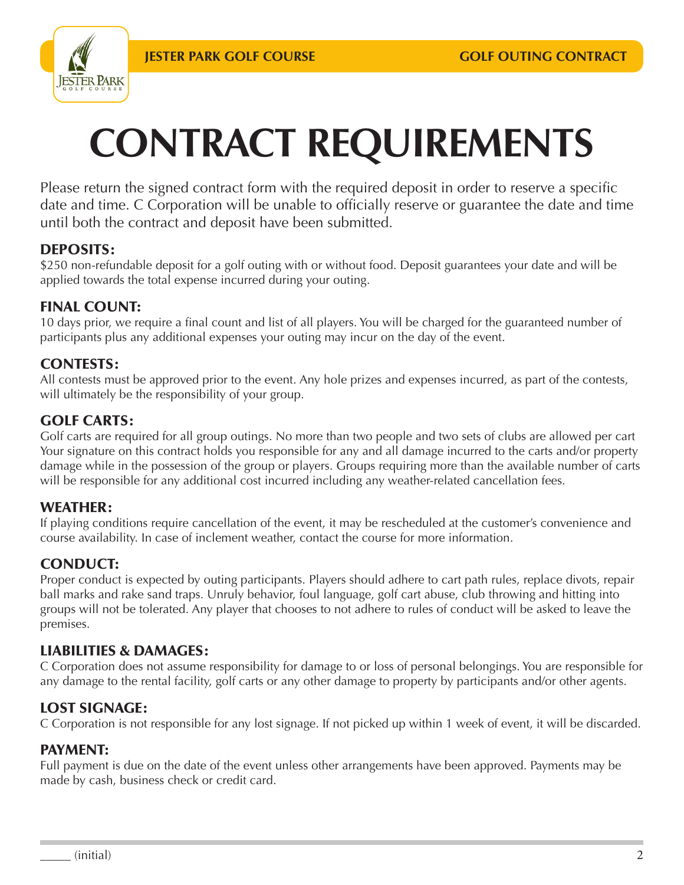**AFTERNOON SHOTGUN:**



## **CONTRACT REQUIREMENTS**

Prease return the signed contract form with the required deposit in order to reserve a specific<br>date and time. C Corporation will be unable to officially reserve or guarantee the date and time until both the contract and deposit have been submitted. Please return the signed contract form with the required deposit in order to reserve a specific

#### The Jester Park Golf Course is  $\mathbf{D}$ DEPOSITS:

 $PZD$  $C_{\text{q}}$ \$250 non-refundable deposit for a golf outing with or without food. Deposit guarantees your date and will be applied towards the total expense incurred during your outing.  $\overline{a}$ 

#### 1971! We have recently been awarded one scoring system FINAL COUNT:

of the  $1$ Cityview. Our course has always been and 10 days prior, we require a final count and list of all players. You will be charged for the guaranteed number of re require a linar count and not of an play participants plus any additional expenses your outing may incur on the day of the event.

#### $\overline{c}$ CONTESTS:

maintained golf courses in the state of Iowa. The state of Iowa. The state of Iowa. The state of Iowa. The state of Iowa. The state of Iowa. In the state of Iowa. In the state of Iowa. In the state of Iowa. In the state of The course is located in the course is a course in the course is an interesting  $\sim$ • (if needed) will ultimately be the responsibility of your group.<br>. All contests must be approved prior to the event. Any hole prizes and expenses incurred, as part of the contests,

## GOLF CARTS:

championship Golf Co 3 Executive Course, With four sets of tees  $\overline{3}$  player minimum (8 groups). When  $\overline{3}$ Golf carts are required for all group outings. No more than two people and two sets of clubs are allowed per cart<br>... Your signature on this contract holds you responsible for any and all damage incurred to the carts and/or property damage while in the possession of the group or players. Groups requiring more than the available number of carts will be responsible for any additional cost incurred including any weather-related cancellation fees.

#### on each hole, golfers can play to the inter-WEATHER:

 $\mathbb{F}_{p}$  for  $\mathbb{F}_{p}$ cou If playing conditions require cancellation of the event, it may be rescheduled at the customer's convenience and course availability. In case of inclement weather, contact the course for more information.

#### $\epsilon$ CONDUCT:

 $Pror$  $b$ all golfers including the  $\{$ come join us for a round of golf and enjoy in the set of golf and enjoy in the set of golf and enjoy in the set of golf and enjoy in the set of golf and enjoy in the set of golf and enjoy in the set of golf and enjoy in th Proper conduct is expected by outing participants. Players should adhere to cart path rules, replace divots, repair ball marks and rake sand traps. Unruly behavior, foul language, golf cart abuse, club throwing and hitting into groups will not be tolerated. Any player that chooses to not adhere to rules of conduct will be asked to leave the  $1000$  player minimum (25 groups) premises.

#### $t = 11$ *\*must tee off by 8:00am\** LIABILITIES & DAMAGES:

*\*no weekend afternoon shotguns\** C Corporation does not assume responsibility for damage to or loss of personal belongings. You are responsible for any damage to the rental facility, golf carts or any other damage to property by participants and/or other agents.

## LOST SIGNAGE:

C Corporation is not responsible for any lost signage. If not picked up within 1 week of event, it will be discarded.  $\mathbf{P}$ 

### PAYMENT:

made by cash, business check or credit card. Full payment is due on the date of the event unless other arrangements have been approved. Payments may be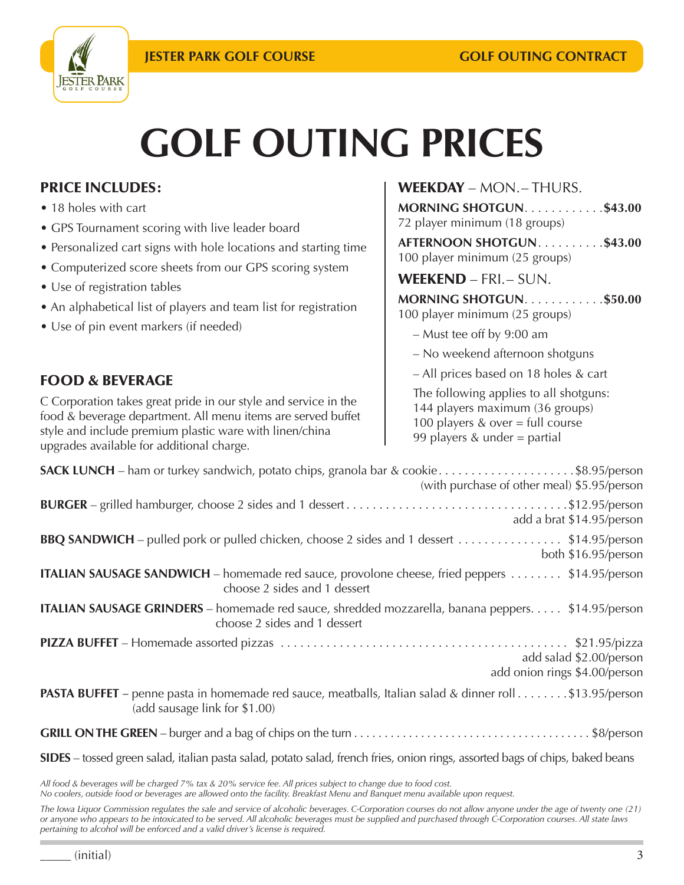

# **GOLF OUTING PRICES**

## PRICE INCLUDES:

- 18 holes with cart
- $\overline{\phantom{a}}$ • GPS Tournament scoring with live leader board
- The Jester Park Golf Course is OPEN TO THE • GPS Tournament scoring with liveleader • Personalized cart signs with hole locations and starting time
- PUBLIC AND OPEN YEAR ROUND! JesterPark • Computerized score sheets from our GPS scoring system and starting time
- Golf Course opened on the Fourth of July in • Use of registration tables
- 1971! We have recently been awarded one list of players • An alphabetical list of players and team list for registration
- of the Best Places to Play Golf according to • Use of pin event markers (if needed)

## WEEKDAY – MON.– THURS.

**MORNING SHOTGUN............\$43.00** 72 player minimum (18 groups) **AFTERNOON SHOTGUN...........\$43.00** 100 player minimum (25 groups)

## WEEKEND – FRI.– SUN.

| MORNING SHOTGUN\$50.00 |  |  |  |  |  |
|------------------------|--|--|--|--|--|
|                        |  |  |  |  |  |

100 player minimum (25 groups)

- Must tee off by 9:00 am
- No weekend afternoon shotguns
- All prices based on 18 holes & cart

The following applies to all shotguns: 144 players maximum (36 groups) 100 players & over = full course 99 players & under = partial

| <b>FOOD &amp; BEVERAGE</b> |
|----------------------------|
|                            |

 $\overline{C}$ C Corporation takes great pride in our style and service in the food & beverage department. All menu items are served buffet style and include premium plastic ware with linen/china  $char\sigma\epsilon$ **MORNING SHOTGUN** upgrades available for additional charge.

| <b>SACK LUNCH</b> – ham or turkey sandwich, potato chips, granola bar & cookie\$8.95/person<br>(with purchase of other meal) \$5.95/person      |
|-------------------------------------------------------------------------------------------------------------------------------------------------|
| add a brat \$14.95/person                                                                                                                       |
| <b>BBQ SANDWICH</b> – pulled pork or pulled chicken, choose 2 sides and 1 dessert \$14.95/person<br>both \$16.95/person                         |
| ITALIAN SAUSAGE SANDWICH - homemade red sauce, provolone cheese, fried peppers  \$14.95/person<br>choose 2 sides and 1 dessert                  |
| ITALIAN SAUSAGE GRINDERS - homemade red sauce, shredded mozzarella, banana peppers. \$14.95/person<br>choose 2 sides and 1 dessert              |
| add salad \$2.00/person<br>add onion rings \$4.00/person                                                                                        |
| <b>PASTA BUFFET</b> – penne pasta in homemade red sauce, meatballs, Italian salad & dinner roll \$13.95/person<br>(add sausage link for \$1.00) |
|                                                                                                                                                 |
| SIDES - tossed green salad, italian pasta salad, potato salad, french fries, onion rings, assorted bags of chips, baked beans                   |

All food & beverages will be charged 7% tax & 20% service fee. All prices subject to change due to food cost.

*No coolers, outside food or beverages are allowed onto the facility. Breakfast Menu and Banquet menu available upon request.* 

*The Iowa Liquor Commission regulates the sale and service of alcoholic beverages. C-Corporation courses do not allow anyone under the age of twenty one (21) or anyone who appears to be intoxicated to be served. All alcoholic beverages must be supplied and purchased through C-Corporation courses. All state laws pertaining to alcohol will be enforced and a valid driver's license is required.*